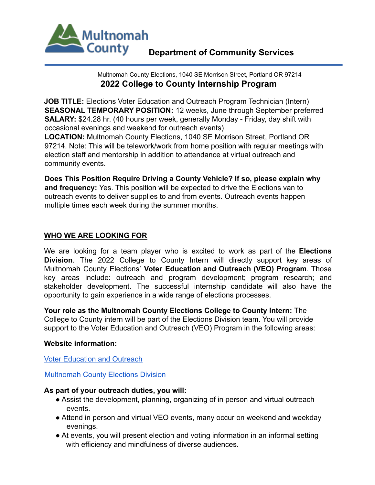

Multnomah County Elections, 1040 SE Morrison Street, Portland OR 97214 **2022 College to County Internship Program**

**JOB TITLE:** Elections Voter Education and Outreach Program Technician (Intern) **SEASONAL TEMPORARY POSITION:** 12 weeks, June through September preferred **SALARY:** \$24.28 hr. (40 hours per week, generally Monday - Friday, day shift with occasional evenings and weekend for outreach events)

**LOCATION:** Multnomah County Elections, 1040 SE Morrison Street, Portland OR 97214. Note: This will be telework/work from home position with regular meetings with election staff and mentorship in addition to attendance at virtual outreach and community events.

**Does This Position Require Driving a County Vehicle? If so, please explain why and frequency:** Yes. This position will be expected to drive the Elections van to outreach events to deliver supplies to and from events. Outreach events happen multiple times each week during the summer months.

# **WHO WE ARE LOOKING FOR**

We are looking for a team player who is excited to work as part of the **Elections Division**. The 2022 College to County Intern will directly support key areas of Multnomah County Elections' **Voter Education and Outreach (VEO) Program**. Those key areas include: outreach and program development; program research; and stakeholder development. The successful internship candidate will also have the opportunity to gain experience in a wide range of elections processes.

**Your role as the Multnomah County Elections College to County Intern:** The College to County intern will be part of the Elections Division team. You will provide support to the Voter Education and Outreach (VEO) Program in the following areas:

#### **Website information:**

Voter Education and Outreach

Multnomah County Elections Division

#### **As part of your outreach duties, you will:**

- Assist the development, planning, organizing of in person and virtual outreach events.
- Attend in person and virtual VEO events, many occur on weekend and weekday evenings.
- At events, you will present election and voting information in an informal setting with efficiency and mindfulness of diverse audiences.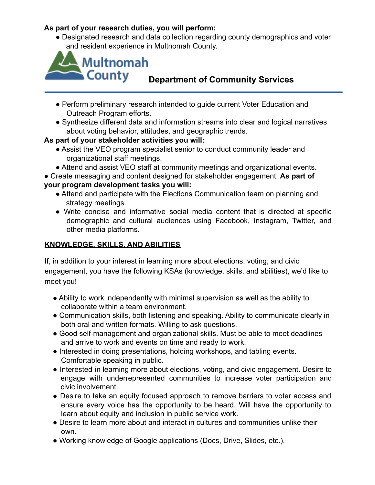# **As part of your research duties, you will perform:**

● Designated research and data collection regarding county demographics and voter and resident experience in Multnomah County.



- Perform preliminary research intended to guide current Voter Education and Outreach Program efforts.
- Synthesize different data and information streams into clear and logical narratives about voting behavior, attitudes, and geographic trends.

# **As part of your stakeholder activities you will:**

- Assist the VEO program specialist senior to conduct community leader and organizational staff meetings.
- Attend and assist VEO staff at community meetings and organizational events.
- Create messaging and content designed for stakeholder engagement. **As part of your program development tasks you will:**
	- Attend and participate with the Elections Communication team on planning and strategy meetings.
	- Write concise and informative social media content that is directed at specific demographic and cultural audiences using Facebook, Instagram, Twitter, and other media platforms.

# **KNOWLEDGE, SKILLS, AND ABILITIES**

If, in addition to your interest in learning more about elections, voting, and civic engagement, you have the following KSAs (knowledge, skills, and abilities), we'd like to meet you!

- Ability to work independently with minimal supervision as well as the ability to collaborate within a team environment.
- Communication skills, both listening and speaking. Ability to communicate clearly in both oral and written formats. Willing to ask questions.
- Good self-management and organizational skills. Must be able to meet deadlines and arrive to work and events on time and ready to work.
- Interested in doing presentations, holding workshops, and tabling events. Comfortable speaking in public.
- Interested in learning more about elections, voting, and civic engagement. Desire to engage with underrepresented communities to increase voter participation and civic involvement.
- Desire to take an equity focused approach to remove barriers to voter access and ensure every voice has the opportunity to be heard. Will have the opportunity to learn about equity and inclusion in public service work.
- Desire to learn more about and interact in cultures and communities unlike their own.
- Working knowledge of Google applications (Docs, Drive, Slides, etc.).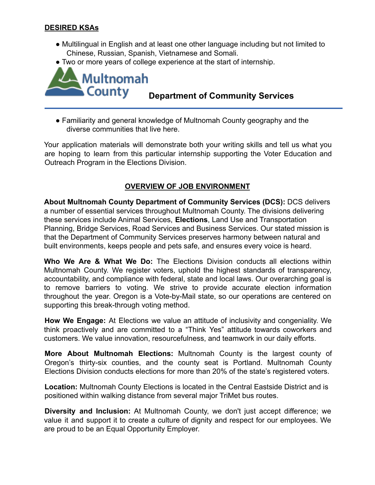### **DESIRED KSAs**

- Multilingual in English and at least one other language including but not limited to Chinese, Russian, Spanish, Vietnamese and Somali.
- Two or more years of college experience at the start of internship.



# **Department of Community Services**

● Familiarity and general knowledge of Multnomah County geography and the diverse communities that live here.

Your application materials will demonstrate both your writing skills and tell us what you are hoping to learn from this particular internship supporting the Voter Education and Outreach Program in the Elections Division.

# **OVERVIEW OF JOB ENVIRONMENT**

**About Multnomah County Department of Community Services (DCS):** DCS delivers a number of essential services throughout Multnomah County. The divisions delivering these services include Animal Services, **Elections**, Land Use and Transportation Planning, Bridge Services, Road Services and Business Services. Our stated mission is that the Department of Community Services preserves harmony between natural and built environments, keeps people and pets safe, and ensures every voice is heard.

**Who We Are & What We Do:** The Elections Division conducts all elections within Multnomah County. We register voters, uphold the highest standards of transparency, accountability, and compliance with federal, state and local laws. Our overarching goal is to remove barriers to voting. We strive to provide accurate election information throughout the year. Oregon is a Vote-by-Mail state, so our operations are centered on supporting this break-through voting method.

**How We Engage:** At Elections we value an attitude of inclusivity and congeniality. We think proactively and are committed to a "Think Yes" attitude towards coworkers and customers. We value innovation, resourcefulness, and teamwork in our daily efforts.

**More About Multnomah Elections:** Multnomah County is the largest county of Oregon's thirty-six counties, and the county seat is Portland. Multnomah County Elections Division conducts elections for more than 20% of the state's registered voters.

**Location:** Multnomah County Elections is located in the Central Eastside District and is positioned within walking distance from several major TriMet bus routes.

**Diversity and Inclusion:** At Multnomah County, we don't just accept difference; we value it and support it to create a culture of dignity and respect for our employees. We are proud to be an Equal Opportunity Employer.